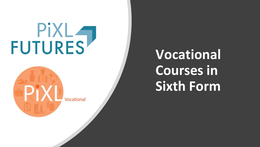# FUTURES<sup></sup>

Vocational

## **Vocational Courses in Sixth Form**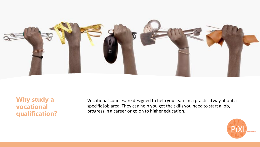

**Why study a vocational qualification?**

Vocational courses are designed to help you learn in a practical way about a specific job area. They can help you get the skills you need to start a job, progress in a career or go on to higher education.

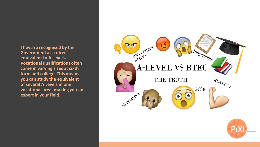**They are recognised by the Government as a direct equivalent to A Levels. Vocational qualifications often come in varying sizes at sixth form and college. This means you can study the equivalent of several A Levels in one vocational area, making you an expert in your field.**



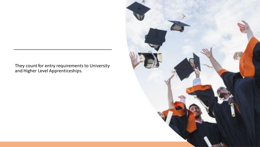They count for entry requirements to University and Higher Level Apprenticeships.

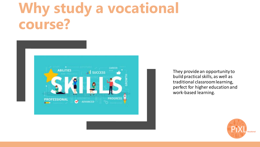# **Why study a vocational course?**



They provide an opportunity to build practical skills, as well as traditional classroom learning, perfect for higher education and work-based learning.

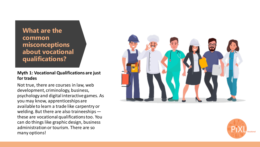**What are the common misconceptions about vocational qualifications?**

#### **Myth 1: Vocational Qualifications are just for trades**

Not true, there are courses in law, web development, criminology, business, psychology and digital interactive games. As you may know, apprenticeships are available to learn a trade like carpentry or welding. But there are also traineeships these are vocational qualifications too. You can do things like graphic design, business administration or tourism. There are so many options!



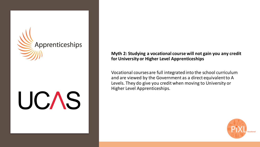

**Myth 2: Studying a vocational course will not gain you any credit for University or Higher Level Apprenticeships**

Vocational courses are full integrated into the school curriculum and are viewed by the Government as a direct equivalent to A Levels. They do give you credit when moving to University or Higher Level Apprenticeships.

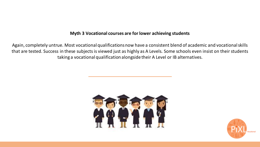### **Myth 3 Vocational courses are for lower achieving students**

Again, completely untrue. Most vocational qualifications now have a consistent blend of academic and vocational skills that are tested. Success in these subjects is viewed just as highly as A Levels. Some schools even insist on their students taking a vocational qualification alongside their A Level or IB alternatives.



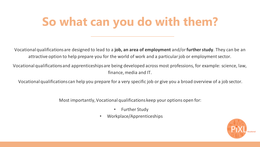## **So what can you do with them?**

Vocational qualifications are designed to lead to a **job, an area of employment** and/or **further study**. They can be an attractive option to help prepare you for the world of work and a particular job or employment sector.

Vocational qualifications and apprenticeships are being developed across most professions, for example: science, law, finance, media and IT.

Vocational qualifications can help you prepare for a very specific job or give you a broad overview of a job sector.

Most importantly, Vocational qualifications keep your options open for:

- **Further Study**
- Workplace/Apprenticeships

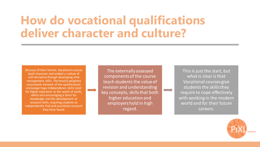## **How do vocational qualifications deliver character and culture?**

Because of their format, Vocational courses build character and embed a culture of self-discipline through developing time management skills. The heavily weighted coursework element of the qualifications encourage huge independence skills (vital for higher education or the world of work), whilst also encouraging a thirst for knowledge and the development of research skills, requiring students to independently find and assimilate research they have found.

The externally assessed components of the course teach students the value of revision and understanding key concepts, skills that both higher education and employers hold in high regard.

This is just the start, but what is clear is that Vocational courses give students the skills they require to cope effectively with working in the modern world and for their future careers.

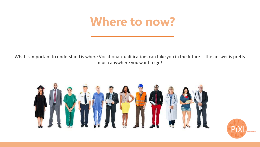## **Where to now?**

What is important to understand is where Vocational qualifications can take you in the future … the answer is pretty much anywhere you want to go!



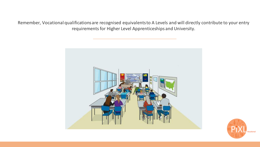Remember, Vocational qualifications are recognised equivalents to A Levels and will directly contribute to your entry requirements for Higher Level Apprenticeships and University.



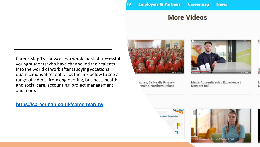## **More Videos**

Career Map TV showcases a whole host of successful young students who have channelled their talents into the world of work after studying vocational qualifications at school. Click the link below to see a range of videos, from engineering, business, health and social care, accounting, project management and more.

### **<https://careermap.co.uk/careermap-tv/>**



πv

tures, Ballysally Primary eraine, Northern Ireland



Matt's Apprenticeship Experience | Network Rail

N